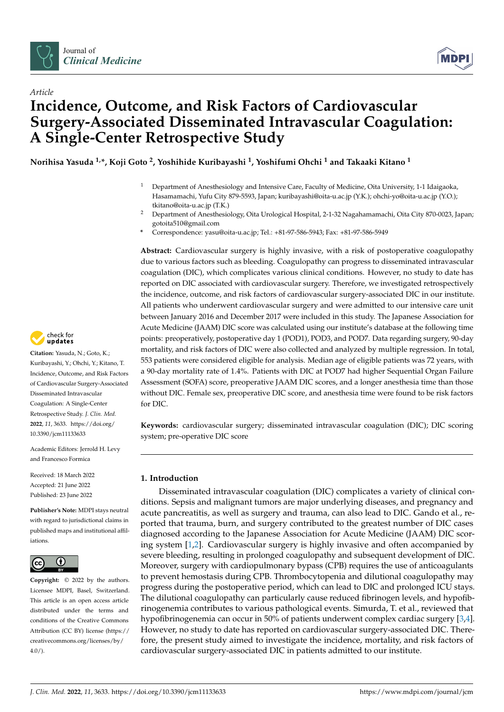



# *Article* **Incidence, Outcome, and Risk Factors of Cardiovascular Surgery-Associated Disseminated Intravascular Coagulation: A Single-Center Retrospective Study**

**Norihisa Yasuda 1,\*, Koji Goto <sup>2</sup> , Yoshihide Kuribayashi <sup>1</sup> , Yoshifumi Ohchi <sup>1</sup> and Takaaki Kitano <sup>1</sup>**

- <sup>1</sup> Department of Anesthesiology and Intensive Care, Faculty of Medicine, Oita University, 1-1 Idaigaoka, Hasamamachi, Yufu City 879-5593, Japan; kuribayashi@oita-u.ac.jp (Y.K.); ohchi-yo@oita-u.ac.jp (Y.O.); tkitano@oita-u.ac.jp (T.K.)
- <sup>2</sup> Department of Anesthesiology, Oita Urological Hospital, 2-1-32 Nagahamamachi, Oita City 870-0023, Japan; gotoita510@gmail.com
- **\*** Correspondence: yasu@oita-u.ac.jp; Tel.: +81-97-586-5943; Fax: +81-97-586-5949

**Abstract:** Cardiovascular surgery is highly invasive, with a risk of postoperative coagulopathy due to various factors such as bleeding. Coagulopathy can progress to disseminated intravascular coagulation (DIC), which complicates various clinical conditions. However, no study to date has reported on DIC associated with cardiovascular surgery. Therefore, we investigated retrospectively the incidence, outcome, and risk factors of cardiovascular surgery-associated DIC in our institute. All patients who underwent cardiovascular surgery and were admitted to our intensive care unit between January 2016 and December 2017 were included in this study. The Japanese Association for Acute Medicine (JAAM) DIC score was calculated using our institute's database at the following time points: preoperatively, postoperative day 1 (POD1), POD3, and POD7. Data regarding surgery, 90-day mortality, and risk factors of DIC were also collected and analyzed by multiple regression. In total, 553 patients were considered eligible for analysis. Median age of eligible patients was 72 years, with a 90-day mortality rate of 1.4%. Patients with DIC at POD7 had higher Sequential Organ Failure Assessment (SOFA) score, preoperative JAAM DIC scores, and a longer anesthesia time than those without DIC. Female sex, preoperative DIC score, and anesthesia time were found to be risk factors for DIC.

**Keywords:** cardiovascular surgery; disseminated intravascular coagulation (DIC); DIC scoring system; pre-operative DIC score

## **1. Introduction**

Disseminated intravascular coagulation (DIC) complicates a variety of clinical conditions. Sepsis and malignant tumors are major underlying diseases, and pregnancy and acute pancreatitis, as well as surgery and trauma, can also lead to DIC. Gando et al., reported that trauma, burn, and surgery contributed to the greatest number of DIC cases diagnosed according to the Japanese Association for Acute Medicine (JAAM) DIC scoring system [\[1,](#page-6-0)[2\]](#page-6-1). Cardiovascular surgery is highly invasive and often accompanied by severe bleeding, resulting in prolonged coagulopathy and subsequent development of DIC. Moreover, surgery with cardiopulmonary bypass (CPB) requires the use of anticoagulants to prevent hemostasis during CPB. Thrombocytopenia and dilutional coagulopathy may progress during the postoperative period, which can lead to DIC and prolonged ICU stays. The dilutional coagulopathy can particularly cause reduced fibrinogen levels, and hypofibrinogenemia contributes to various pathological events. Simurda, T. et al., reviewed that hypofibrinogenemia can occur in 50% of patients underwent complex cardiac surgery [\[3](#page-6-2)[,4\]](#page-6-3). However, no study to date has reported on cardiovascular surgery-associated DIC. Therefore, the present study aimed to investigate the incidence, mortality, and risk factors of cardiovascular surgery-associated DIC in patients admitted to our institute.



**Citation:** Yasuda, N.; Goto, K.; Kuribayashi, Y.; Ohchi, Y.; Kitano, T. Incidence, Outcome, and Risk Factors of Cardiovascular Surgery-Associated Disseminated Intravascular Coagulation: A Single-Center Retrospective Study. *J. Clin. Med.* **2022**, *11*, 3633. [https://doi.org/](https://doi.org/10.3390/jcm11133633) [10.3390/jcm11133633](https://doi.org/10.3390/jcm11133633)

Academic Editors: Jerrold H. Levy and Francesco Formica

Received: 18 March 2022 Accepted: 21 June 2022 Published: 23 June 2022

**Publisher's Note:** MDPI stays neutral with regard to jurisdictional claims in published maps and institutional affiliations.



**Copyright:** © 2022 by the authors. Licensee MDPI, Basel, Switzerland. This article is an open access article distributed under the terms and conditions of the Creative Commons Attribution (CC BY) license [\(https://](https://creativecommons.org/licenses/by/4.0/) [creativecommons.org/licenses/by/](https://creativecommons.org/licenses/by/4.0/)  $4.0/$ ).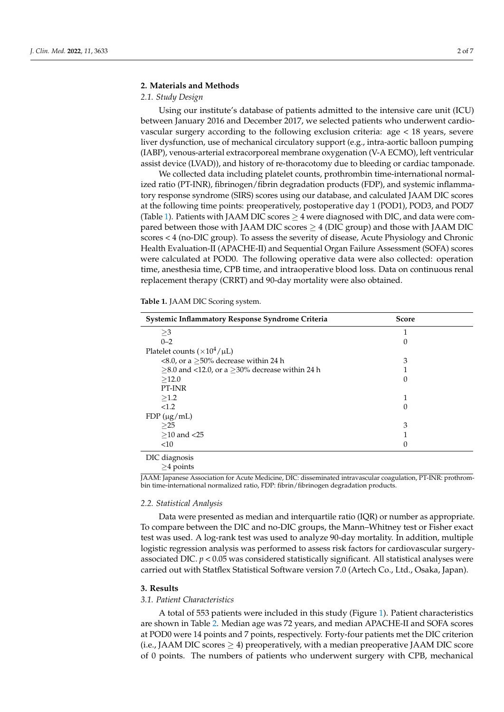# **2. Materials and Methods**

#### *2.1. Study Design*

Using our institute's database of patients admitted to the intensive care unit (ICU) between January 2016 and December 2017, we selected patients who underwent cardiovascular surgery according to the following exclusion criteria: age < 18 years, severe liver dysfunction, use of mechanical circulatory support (e.g., intra-aortic balloon pumping (IABP), venous-arterial extracorporeal membrane oxygenation (V-A ECMO), left ventricular assist device (LVAD)), and history of re-thoracotomy due to bleeding or cardiac tamponade.

We collected data including platelet counts, prothrombin time-international normalized ratio (PT-INR), fibrinogen/fibrin degradation products (FDP), and systemic inflammatory response syndrome (SIRS) scores using our database, and calculated JAAM DIC scores at the following time points: preoperatively, postoperative day 1 (POD1), POD3, and POD7 (Table [1\)](#page-1-0). Patients with JAAM DIC scores  $\geq$  4 were diagnosed with DIC, and data were compared between those with JAAM DIC scores  $>$  4 (DIC group) and those with JAAM DIC scores < 4 (no-DIC group). To assess the severity of disease, Acute Physiology and Chronic Health Evaluation-II (APACHE-II) and Sequential Organ Failure Assessment (SOFA) scores were calculated at POD0. The following operative data were also collected: operation time, anesthesia time, CPB time, and intraoperative blood loss. Data on continuous renal replacement therapy (CRRT) and 90-day mortality were also obtained.

<span id="page-1-0"></span>**Table 1.** JAAM DIC Scoring system.

| Systemic Inflammatory Response Syndrome Criteria    | <b>Score</b> |  |
|-----------------------------------------------------|--------------|--|
| $\geq$ 3                                            |              |  |
| $0 - 2$                                             |              |  |
| Platelet counts ( $\times 10^4/\mu L$ )             |              |  |
| <8.0, or a $\geq$ 50% decrease within 24 h          | 3            |  |
| $>8.0$ and <12.0, or a $>30\%$ decrease within 24 h |              |  |
| >12.0                                               | 0            |  |
| PT-INR                                              |              |  |
| >1.2                                                |              |  |
| < 1.2                                               | 0            |  |
| $FDP(\mu g/mL)$                                     |              |  |
| >25                                                 | 3            |  |
| $>10$ and $<25$                                     |              |  |
| <10                                                 | 0            |  |
| DIC diagnosis                                       |              |  |

≥4 points

JAAM: Japanese Association for Acute Medicine, DIC: disseminated intravascular coagulation, PT-INR: prothrombin time-international normalized ratio, FDP: fibrin/fibrinogen degradation products.

#### *2.2. Statistical Analysis*

Data were presented as median and interquartile ratio (IQR) or number as appropriate. To compare between the DIC and no-DIC groups, the Mann–Whitney test or Fisher exact test was used. A log-rank test was used to analyze 90-day mortality. In addition, multiple logistic regression analysis was performed to assess risk factors for cardiovascular surgeryassociated DIC.  $p < 0.05$  was considered statistically significant. All statistical analyses were carried out with Statflex Statistical Software version 7.0 (Artech Co., Ltd., Osaka, Japan).

#### **3. Results**

#### *3.1. Patient Characteristics*

A total of 553 patients were included in this study (Figure [1\)](#page-2-0). Patient characteristics are shown in Table [2.](#page-2-1) Median age was 72 years, and median APACHE-II and SOFA scores at POD0 were 14 points and 7 points, respectively. Forty-four patients met the DIC criterion (i.e., JAAM DIC scores  $\geq$  4) preoperatively, with a median preoperative JAAM DIC score of 0 points. The numbers of patients who underwent surgery with CPB, mechanical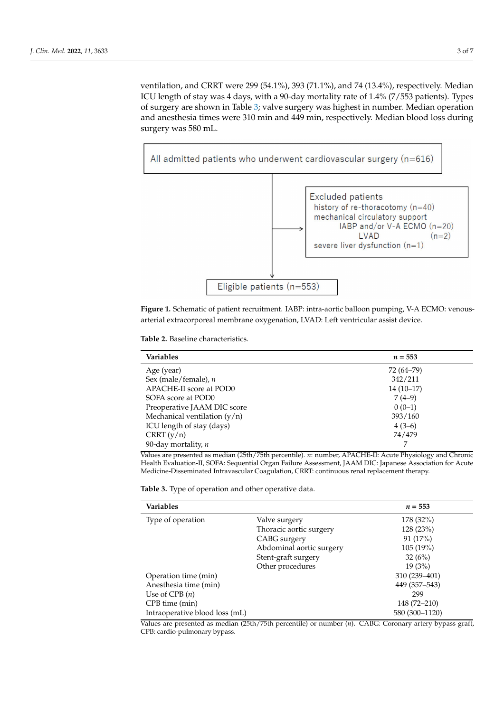ventilation, and CRRT were 299 (54.1%), 393 (71.1%), and 74 (13.4%), respectively. Median ICU length of stay was 4 days, with a 90-day mortality rate of 1.4% (7/553 patients). Types of surgery are shown in Table [3;](#page-2-2) valve surgery was highest in number. Median operation and anesthesia times were 310 min and 449 min, respectively. Median blood loss during surgery was 580 mL.

<span id="page-2-0"></span>

**Figure 1.** Schematic of patient recruitment. IABP: intra-aortic balloon pumping, V-A ECMO: venousarterial extracorporeal membrane oxygenation, LVAD: Left ventricular assist device.

<span id="page-2-1"></span>

|  | <b>Table 2.</b> Baseline characteristics. |
|--|-------------------------------------------|
|  |                                           |

| <b>Variables</b>               | $n = 553$   |
|--------------------------------|-------------|
| Age (year)                     | 72 (64–79)  |
| Sex (male/female), $n$         | 342/211     |
| APACHE-II score at POD0        | $14(10-17)$ |
| SOFA score at POD0             | $7(4-9)$    |
| Preoperative JAAM DIC score    | $0(0-1)$    |
| Mechanical ventilation $(y/n)$ | 393/160     |
| ICU length of stay (days)      | $4(3-6)$    |
| CRRT(y/n)                      | 74/479      |
| 90-day mortality, $n$          | 7           |

Values are presented as median (25th/75th percentile). *n*: number, APACHE-II: Acute Physiology and Chronic Health Evaluation-II, SOFA: Sequential Organ Failure Assessment, JAAM DIC: Japanese Association for Acute Medicine-Disseminated Intravascular Coagulation, CRRT: continuous renal replacement therapy.

<span id="page-2-2"></span>**Table 3.** Type of operation and other operative data.

| <b>Variables</b>               |                          | $n = 553$      |
|--------------------------------|--------------------------|----------------|
| Type of operation              | Valve surgery            | 178 (32%)      |
|                                | Thoracic aortic surgery  | 128(23%)       |
|                                | CABG surgery             | 91 (17%)       |
|                                | Abdominal aortic surgery | 105(19%)       |
|                                | Stent-graft surgery      | 32(6%)         |
|                                | Other procedures         | 19(3%)         |
| Operation time (min)           |                          | 310 (239-401)  |
| Anesthesia time (min)          |                          | 449 (357-543)  |
| Use of CPB $(n)$               |                          | 299            |
| CPB time (min)                 |                          | 148 (72-210)   |
| Intraoperative blood loss (mL) |                          | 580 (300-1120) |

Values are presented as median (25th/75th percentile) or number (*n*). CABG: Coronary artery bypass graft, CPB: cardio-pulmonary bypass.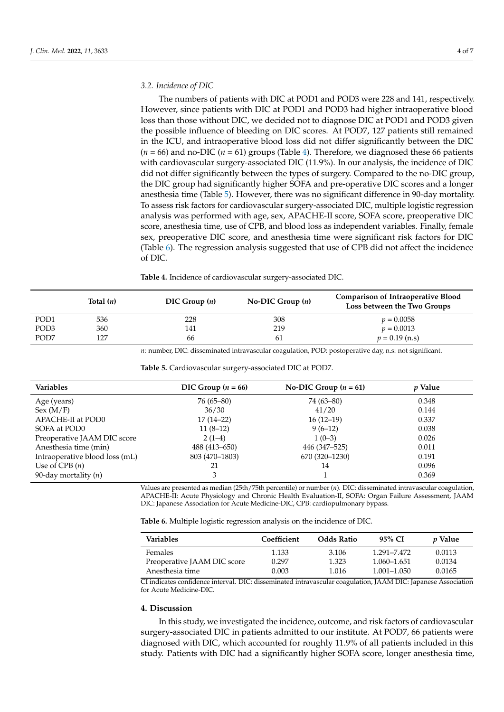#### *3.2. Incidence of DIC*

The numbers of patients with DIC at POD1 and POD3 were 228 and 141, respectively. However, since patients with DIC at POD1 and POD3 had higher intraoperative blood loss than those without DIC, we decided not to diagnose DIC at POD1 and POD3 given the possible influence of bleeding on DIC scores. At POD7, 127 patients still remained in the ICU, and intraoperative blood loss did not differ significantly between the DIC  $(n = 66)$  and no-DIC  $(n = 61)$  groups (Table [4\)](#page-3-0). Therefore, we diagnosed these 66 patients with cardiovascular surgery-associated DIC (11.9%). In our analysis, the incidence of DIC did not differ significantly between the types of surgery. Compared to the no-DIC group, the DIC group had significantly higher SOFA and pre-operative DIC scores and a longer anesthesia time (Table [5\)](#page-3-1). However, there was no significant difference in 90-day mortality. To assess risk factors for cardiovascular surgery-associated DIC, multiple logistic regression analysis was performed with age, sex, APACHE-II score, SOFA score, preoperative DIC score, anesthesia time, use of CPB, and blood loss as independent variables. Finally, female sex, preoperative DIC score, and anesthesia time were significant risk factors for DIC (Table [6\)](#page-3-2). The regression analysis suggested that use of CPB did not affect the incidence of DIC.

<span id="page-3-0"></span>**Table 4.** Incidence of cardiovascular surgery-associated DIC.

|                  | Total $(n)$ | DIC Group(n) | No-DIC Group $(n)$ | <b>Comparison of Intraoperative Blood</b><br>Loss between the Two Groups |
|------------------|-------------|--------------|--------------------|--------------------------------------------------------------------------|
| POD <sub>1</sub> | 536         | 228          | 308                | $p = 0.0058$                                                             |
| POD <sub>3</sub> | 360         | 141          | 219                | $p = 0.0013$                                                             |
| POD7             | 127         | 66           | 61                 | $p = 0.19$ (n.s)                                                         |

*n*: number, DIC: disseminated intravascular coagulation, POD: postoperative day, n.s: not significant.

| Variables                      | DIC Group $(n = 66)$ | No-DIC Group $(n = 61)$ | <i>v</i> Value |  |
|--------------------------------|----------------------|-------------------------|----------------|--|
| Age (years)                    | 76 (65–80)           | 74 (63–80)              | 0.348          |  |
| Sex(M/F)                       | 36/30                | 41/20                   | 0.144          |  |
| APACHE-II at POD0              | $17(14-22)$          | $16(12-19)$             | 0.337          |  |
| SOFA at POD0                   | $11(8-12)$           | $9(6-12)$               | 0.038          |  |
| Preoperative JAAM DIC score    | $2(1-4)$             | $1(0-3)$                | 0.026          |  |
| Anesthesia time (min)          | 488 (413–650)        | 446 (347–525)           | 0.011          |  |
| Intraoperative blood loss (mL) | 803 (470-1803)       | 670 (320–1230)          | 0.191          |  |
| Use of CPB $(n)$               | 21                   | 14                      | 0.096          |  |
| 90-day mortality (n)           | 3                    |                         | 0.369          |  |

<span id="page-3-1"></span>**Table 5.** Cardiovascular surgery-associated DIC at POD7.

Values are presented as median (25th/75th percentile) or number (*n*). DIC: disseminated intravascular coagulation, APACHE-II: Acute Physiology and Chronic Health Evaluation-II, SOFA: Organ Failure Assessment, JAAM DIC: Japanese Association for Acute Medicine-DIC, CPB: cardiopulmonary bypass.

<span id="page-3-2"></span>**Table 6.** Multiple logistic regression analysis on the incidence of DIC.

| Variables                   | Coefficient | <b>Odds Ratio</b> | 95% CI          | <i>v</i> Value |
|-----------------------------|-------------|-------------------|-----------------|----------------|
| Females                     | 1.133       | 3.106             | 1.291-7.472     | 0.0113         |
| Preoperative JAAM DIC score | 0.297       | 1.323             | 1.060–1.651     | 0.0134         |
| Anesthesia time             | 0.003       | 1.016             | $1.001 - 1.050$ | 0.0165         |

CI indicates confidence interval. DIC: disseminated intravascular coagulation, JAAM DIC: Japanese Association for Acute Medicine-DIC.

#### **4. Discussion**

In this study, we investigated the incidence, outcome, and risk factors of cardiovascular surgery-associated DIC in patients admitted to our institute. At POD7, 66 patients were diagnosed with DIC, which accounted for roughly 11.9% of all patients included in this study. Patients with DIC had a significantly higher SOFA score, longer anesthesia time,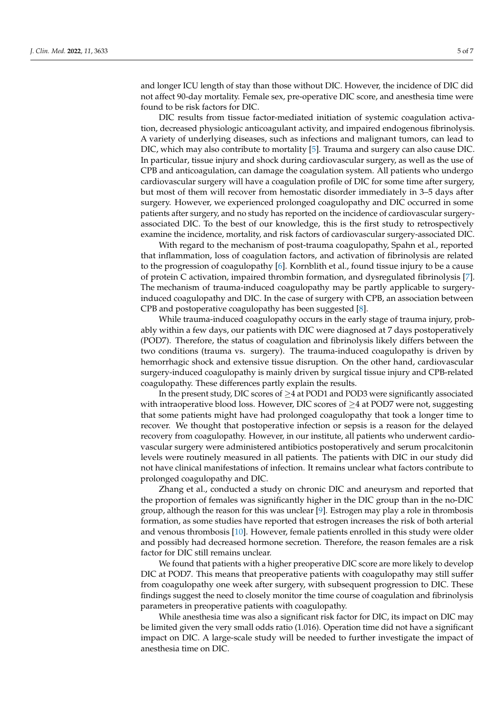and longer ICU length of stay than those without DIC. However, the incidence of DIC did not affect 90-day mortality. Female sex, pre-operative DIC score, and anesthesia time were found to be risk factors for DIC.

DIC results from tissue factor-mediated initiation of systemic coagulation activation, decreased physiologic anticoagulant activity, and impaired endogenous fibrinolysis. A variety of underlying diseases, such as infections and malignant tumors, can lead to DIC, which may also contribute to mortality [\[5\]](#page-6-4). Trauma and surgery can also cause DIC. In particular, tissue injury and shock during cardiovascular surgery, as well as the use of CPB and anticoagulation, can damage the coagulation system. All patients who undergo cardiovascular surgery will have a coagulation profile of DIC for some time after surgery, but most of them will recover from hemostatic disorder immediately in 3–5 days after surgery. However, we experienced prolonged coagulopathy and DIC occurred in some patients after surgery, and no study has reported on the incidence of cardiovascular surgeryassociated DIC. To the best of our knowledge, this is the first study to retrospectively examine the incidence, mortality, and risk factors of cardiovascular surgery-associated DIC.

With regard to the mechanism of post-trauma coagulopathy, Spahn et al., reported that inflammation, loss of coagulation factors, and activation of fibrinolysis are related to the progression of coagulopathy [\[6\]](#page-6-5). Kornblith et al., found tissue injury to be a cause of protein C activation, impaired thrombin formation, and dysregulated fibrinolysis [\[7\]](#page-6-6). The mechanism of trauma-induced coagulopathy may be partly applicable to surgeryinduced coagulopathy and DIC. In the case of surgery with CPB, an association between CPB and postoperative coagulopathy has been suggested [\[8\]](#page-6-7).

While trauma-induced coagulopathy occurs in the early stage of trauma injury, probably within a few days, our patients with DIC were diagnosed at 7 days postoperatively (POD7). Therefore, the status of coagulation and fibrinolysis likely differs between the two conditions (trauma vs. surgery). The trauma-induced coagulopathy is driven by hemorrhagic shock and extensive tissue disruption. On the other hand, cardiovascular surgery-induced coagulopathy is mainly driven by surgical tissue injury and CPB-related coagulopathy. These differences partly explain the results.

In the present study, DIC scores of  $\geq$  4 at POD1 and POD3 were significantly associated with intraoperative blood loss. However, DIC scores of  $\geq 4$  at POD7 were not, suggesting that some patients might have had prolonged coagulopathy that took a longer time to recover. We thought that postoperative infection or sepsis is a reason for the delayed recovery from coagulopathy. However, in our institute, all patients who underwent cardiovascular surgery were administered antibiotics postoperatively and serum procalcitonin levels were routinely measured in all patients. The patients with DIC in our study did not have clinical manifestations of infection. It remains unclear what factors contribute to prolonged coagulopathy and DIC.

Zhang et al., conducted a study on chronic DIC and aneurysm and reported that the proportion of females was significantly higher in the DIC group than in the no-DIC group, although the reason for this was unclear [\[9\]](#page-6-8). Estrogen may play a role in thrombosis formation, as some studies have reported that estrogen increases the risk of both arterial and venous thrombosis [\[10\]](#page-6-9). However, female patients enrolled in this study were older and possibly had decreased hormone secretion. Therefore, the reason females are a risk factor for DIC still remains unclear.

We found that patients with a higher preoperative DIC score are more likely to develop DIC at POD7. This means that preoperative patients with coagulopathy may still suffer from coagulopathy one week after surgery, with subsequent progression to DIC. These findings suggest the need to closely monitor the time course of coagulation and fibrinolysis parameters in preoperative patients with coagulopathy.

While anesthesia time was also a significant risk factor for DIC, its impact on DIC may be limited given the very small odds ratio (1.016). Operation time did not have a significant impact on DIC. A large-scale study will be needed to further investigate the impact of anesthesia time on DIC.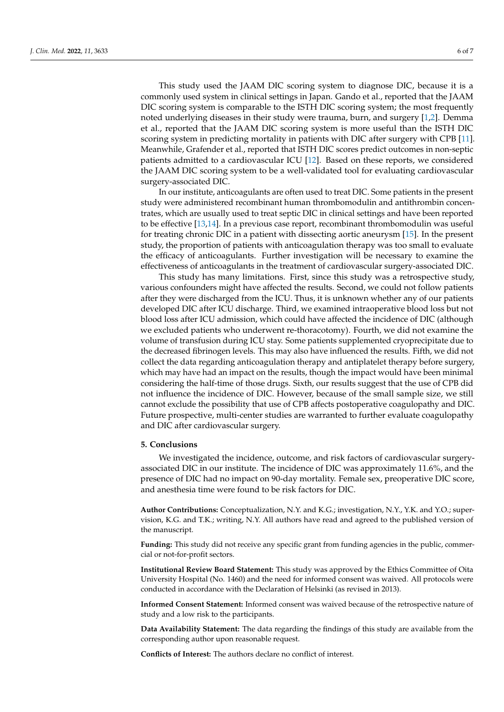This study used the JAAM DIC scoring system to diagnose DIC, because it is a commonly used system in clinical settings in Japan. Gando et al., reported that the JAAM DIC scoring system is comparable to the ISTH DIC scoring system; the most frequently noted underlying diseases in their study were trauma, burn, and surgery [\[1](#page-6-0)[,2\]](#page-6-1). Demma et al., reported that the JAAM DIC scoring system is more useful than the ISTH DIC scoring system in predicting mortality in patients with DIC after surgery with CPB [\[11\]](#page-6-10). Meanwhile, Grafender et al., reported that ISTH DIC scores predict outcomes in non-septic patients admitted to a cardiovascular ICU [\[12\]](#page-6-11). Based on these reports, we considered the JAAM DIC scoring system to be a well-validated tool for evaluating cardiovascular surgery-associated DIC.

In our institute, anticoagulants are often used to treat DIC. Some patients in the present study were administered recombinant human thrombomodulin and antithrombin concentrates, which are usually used to treat septic DIC in clinical settings and have been reported to be effective [\[13,](#page-6-12)[14\]](#page-6-13). In a previous case report, recombinant thrombomodulin was useful for treating chronic DIC in a patient with dissecting aortic aneurysm [\[15\]](#page-6-14). In the present study, the proportion of patients with anticoagulation therapy was too small to evaluate the efficacy of anticoagulants. Further investigation will be necessary to examine the effectiveness of anticoagulants in the treatment of cardiovascular surgery-associated DIC.

This study has many limitations. First, since this study was a retrospective study, various confounders might have affected the results. Second, we could not follow patients after they were discharged from the ICU. Thus, it is unknown whether any of our patients developed DIC after ICU discharge. Third, we examined intraoperative blood loss but not blood loss after ICU admission, which could have affected the incidence of DIC (although we excluded patients who underwent re-thoracotomy). Fourth, we did not examine the volume of transfusion during ICU stay. Some patients supplemented cryoprecipitate due to the decreased fibrinogen levels. This may also have influenced the results. Fifth, we did not collect the data regarding anticoagulation therapy and antiplatelet therapy before surgery, which may have had an impact on the results, though the impact would have been minimal considering the half-time of those drugs. Sixth, our results suggest that the use of CPB did not influence the incidence of DIC. However, because of the small sample size, we still cannot exclude the possibility that use of CPB affects postoperative coagulopathy and DIC. Future prospective, multi-center studies are warranted to further evaluate coagulopathy and DIC after cardiovascular surgery.

#### **5. Conclusions**

We investigated the incidence, outcome, and risk factors of cardiovascular surgeryassociated DIC in our institute. The incidence of DIC was approximately 11.6%, and the presence of DIC had no impact on 90-day mortality. Female sex, preoperative DIC score, and anesthesia time were found to be risk factors for DIC.

**Author Contributions:** Conceptualization, N.Y. and K.G.; investigation, N.Y., Y.K. and Y.O.; supervision, K.G. and T.K.; writing, N.Y. All authors have read and agreed to the published version of the manuscript.

**Funding:** This study did not receive any specific grant from funding agencies in the public, commercial or not-for-profit sectors.

**Institutional Review Board Statement:** This study was approved by the Ethics Committee of Oita University Hospital (No. 1460) and the need for informed consent was waived. All protocols were conducted in accordance with the Declaration of Helsinki (as revised in 2013).

**Informed Consent Statement:** Informed consent was waived because of the retrospective nature of study and a low risk to the participants.

**Data Availability Statement:** The data regarding the findings of this study are available from the corresponding author upon reasonable request.

**Conflicts of Interest:** The authors declare no conflict of interest.